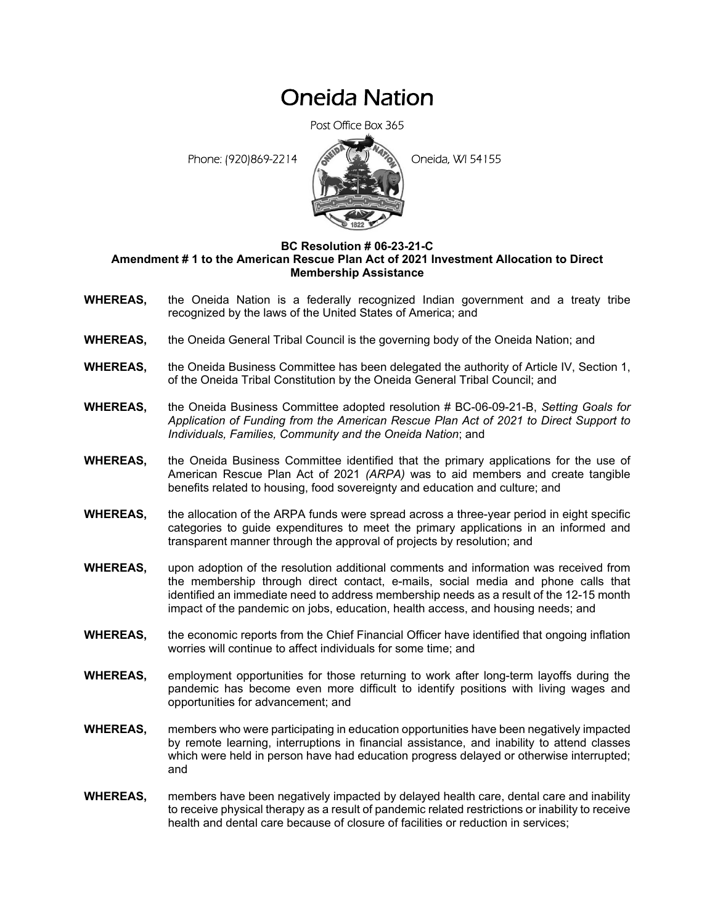# Oneida Nation

Post Office Box 365

Phone: (920)869-2214 **Constant Constant Constant Constant Constant Constant Constant Constant Constant Constant Constant Constant Constant Constant Constant Constant Constant Constant Constant Constant Constant Constant Co** 



### **BC Resolution # 06-23-21-C Amendment # 1 to the American Rescue Plan Act of 2021 Investment Allocation to Direct Membership Assistance**

- **WHEREAS,** the Oneida Nation is a federally recognized Indian government and a treaty tribe recognized by the laws of the United States of America; and
- **WHEREAS,** the Oneida General Tribal Council is the governing body of the Oneida Nation; and
- **WHEREAS,** the Oneida Business Committee has been delegated the authority of Article IV, Section 1, of the Oneida Tribal Constitution by the Oneida General Tribal Council; and
- **WHEREAS,** the Oneida Business Committee adopted resolution # BC-06-09-21-B, *Setting Goals for Application of Funding from the American Rescue Plan Act of 2021 to Direct Support to Individuals, Families, Community and the Oneida Nation*; and
- **WHEREAS,** the Oneida Business Committee identified that the primary applications for the use of American Rescue Plan Act of 2021 *(ARPA)* was to aid members and create tangible benefits related to housing, food sovereignty and education and culture; and
- **WHEREAS,** the allocation of the ARPA funds were spread across a three-year period in eight specific categories to guide expenditures to meet the primary applications in an informed and transparent manner through the approval of projects by resolution; and
- **WHEREAS,** upon adoption of the resolution additional comments and information was received from the membership through direct contact, e-mails, social media and phone calls that identified an immediate need to address membership needs as a result of the 12-15 month impact of the pandemic on jobs, education, health access, and housing needs; and
- **WHEREAS,** the economic reports from the Chief Financial Officer have identified that ongoing inflation worries will continue to affect individuals for some time; and
- **WHEREAS,** employment opportunities for those returning to work after long-term layoffs during the pandemic has become even more difficult to identify positions with living wages and opportunities for advancement; and
- **WHEREAS,** members who were participating in education opportunities have been negatively impacted by remote learning, interruptions in financial assistance, and inability to attend classes which were held in person have had education progress delayed or otherwise interrupted; and
- **WHEREAS,** members have been negatively impacted by delayed health care, dental care and inability to receive physical therapy as a result of pandemic related restrictions or inability to receive health and dental care because of closure of facilities or reduction in services;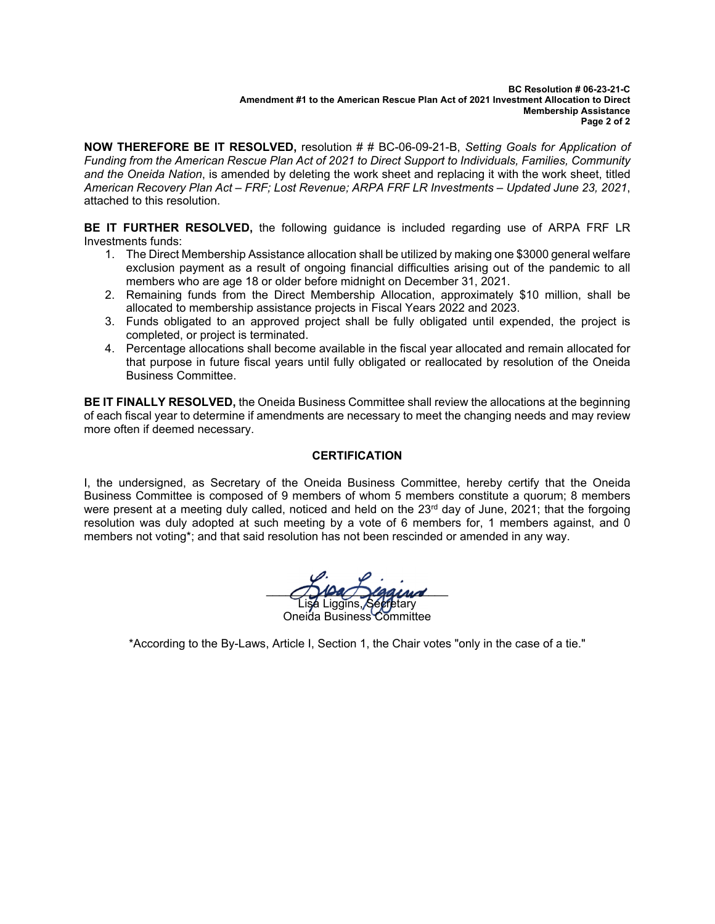#### **BC Resolution # 06-23-21-C Amendment #1 to the American Rescue Plan Act of 2021 Investment Allocation to Direct Membership Assistance Page 2 of 2**

**NOW THEREFORE BE IT RESOLVED,** resolution # # BC-06-09-21-B, *Setting Goals for Application of Funding from the American Rescue Plan Act of 2021 to Direct Support to Individuals, Families, Community and the Oneida Nation*, is amended by deleting the work sheet and replacing it with the work sheet, titled *American Recovery Plan Act – FRF; Lost Revenue; ARPA FRF LR Investments – Updated June 23, 2021*, attached to this resolution.

**BE IT FURTHER RESOLVED,** the following guidance is included regarding use of ARPA FRF LR Investments funds:

- 1. The Direct Membership Assistance allocation shall be utilized by making one \$3000 general welfare exclusion payment as a result of ongoing financial difficulties arising out of the pandemic to all members who are age 18 or older before midnight on December 31, 2021.
- 2. Remaining funds from the Direct Membership Allocation, approximately \$10 million, shall be allocated to membership assistance projects in Fiscal Years 2022 and 2023.
- 3. Funds obligated to an approved project shall be fully obligated until expended, the project is completed, or project is terminated.
- 4. Percentage allocations shall become available in the fiscal year allocated and remain allocated for that purpose in future fiscal years until fully obligated or reallocated by resolution of the Oneida Business Committee.

**BE IT FINALLY RESOLVED,** the Oneida Business Committee shall review the allocations at the beginning of each fiscal year to determine if amendments are necessary to meet the changing needs and may review more often if deemed necessary.

## **CERTIFICATION**

I, the undersigned, as Secretary of the Oneida Business Committee, hereby certify that the Oneida Business Committee is composed of 9 members of whom 5 members constitute a quorum; 8 members were present at a meeting duly called, noticed and held on the  $23<sup>rd</sup>$  day of June, 2021; that the forgoing resolution was duly adopted at such meeting by a vote of 6 members for, 1 members against, and  $\overline{0}$ members not voting\*; and that said resolution has not been rescinded or amended in any way.

 $\bigcap$ Dan Digaired Lisa Liggins, Secretary Oneida Business Committee

\*According to the By-Laws, Article I, Section 1, the Chair votes "only in the case of a tie."